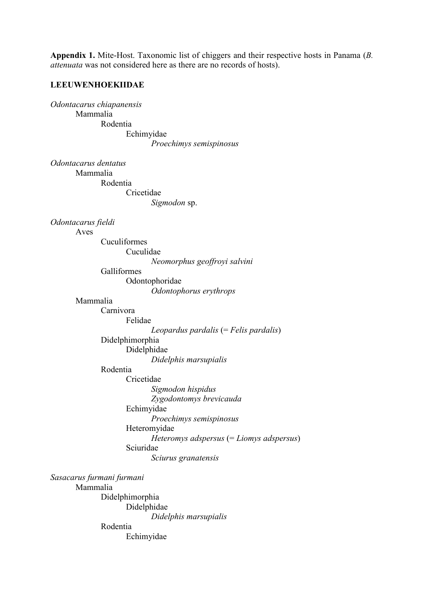**Appendix 1.** Mite-Host. Taxonomic list of chiggers and their respective hosts in Panama (*B. attenuata* was not considered here as there are no records of hosts).

## **LEEUWENHOEKIIDAE**

*Odontacarus chiapanensis* Mammalia Rodentia Echimyidae *Proechimys semispinosus*

*Odontacarus dentatus*

Mammalia

Rodentia

Cricetidae *Sigmodon* sp.

*Odontacarus fieldi*

Aves

Cuculiformes Cuculidae *Neomorphus geoffroyi salvini* Galliformes Odontophoridae

*Odontophorus erythrops*

Mammalia

Carnivora Felidae *Leopardus pardalis* (= *Felis pardalis*) Didelphimorphia Didelphidae

*Didelphis marsupialis*

Rodentia

Cricetidae

*Sigmodon hispidus Zygodontomys brevicauda*  Echimyidae *Proechimys semispinosus* Heteromyidae *Heteromys adspersus* (= *Liomys adspersus*) Sciuridae *Sciurus granatensis*

*Sasacarus furmani furmani* Mammalia Didelphimorphia Didelphidae *Didelphis marsupialis* Rodentia Echimyidae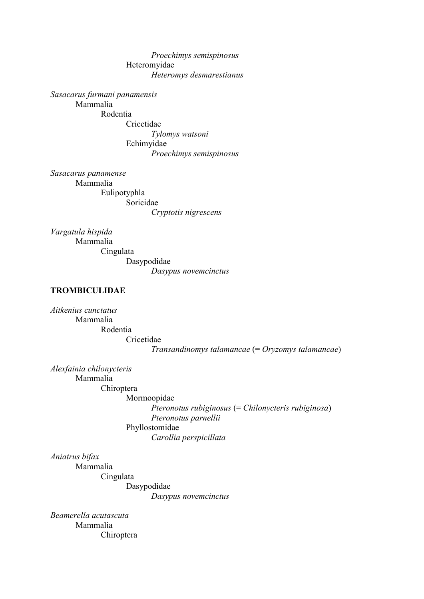*Proechimys semispinosus* Heteromyidae *Heteromys desmarestianus*

*Sasacarus furmani panamensis* Mammalia

Rodentia Cricetidae *Tylomys watsoni* Echimyidae *Proechimys semispinosus*

*Sasacarus panamense* Mammalia Eulipotyphla Soricidae

*Cryptotis nigrescens*

*Vargatula hispida* Mammalia Cingulata Dasypodidae *Dasypus novemcinctus*

# **TROMBICULIDAE**

*Aitkenius cunctatus* Mammalia Rodentia Cricetidae *Transandinomys talamancae* (= *Oryzomys talamancae*)

*Alexfainia chilonycteris* Mammalia Chiroptera Mormoopidae *Pteronotus rubiginosus* (= *Chilonycteris rubiginosa*) *Pteronotus parnellii* Phyllostomidae *Carollia perspicillata*

*Aniatrus bifax*

Mammalia Cingulata Dasypodidae

*Dasypus novemcinctus*

*Beamerella acutascuta* Mammalia Chiroptera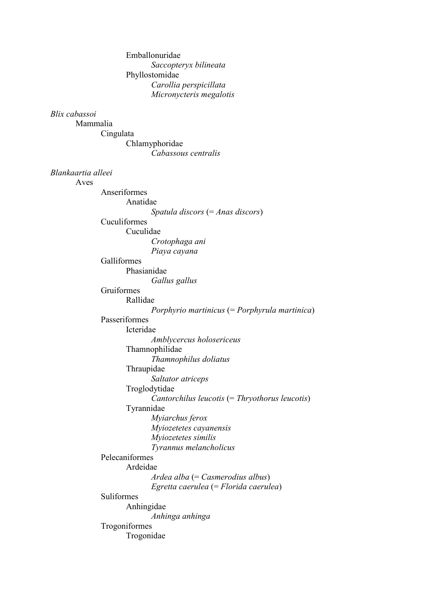| Emballonuridae                                                 |  |
|----------------------------------------------------------------|--|
| Saccopteryx bilineata                                          |  |
| Phyllostomidae                                                 |  |
| Carollia perspicillata                                         |  |
| Micronycteris megalotis                                        |  |
| Blix cabassoi                                                  |  |
| Mammalia                                                       |  |
| Cingulata                                                      |  |
| Chlamyphoridae                                                 |  |
| Cabassous centralis                                            |  |
|                                                                |  |
| Blankaartia alleei                                             |  |
| Aves                                                           |  |
| Anseriformes                                                   |  |
| Anatidae                                                       |  |
| Spatula discors $(=Ans\,$ discors)                             |  |
| Cuculiformes                                                   |  |
| Cuculidae                                                      |  |
| Crotophaga ani                                                 |  |
| Piaya cayana                                                   |  |
| Galliformes                                                    |  |
| Phasianidae                                                    |  |
| Gallus gallus<br>Gruiformes                                    |  |
| Rallidae                                                       |  |
|                                                                |  |
| Porphyrio martinicus (= Porphyrula martinica)<br>Passeriformes |  |
| Icteridae                                                      |  |
| Amblycercus holosericeus                                       |  |
| Thamnophilidae                                                 |  |
| Thamnophilus doliatus                                          |  |
| Thraupidae                                                     |  |
| Saltator atriceps                                              |  |
| Troglodytidae                                                  |  |
| Cantorchilus leucotis $(=Thryothorus$ leucotis)                |  |
| Tyrannidae                                                     |  |
| Myiarchus ferox                                                |  |
| Myiozetetes cayanensis                                         |  |
| Myiozetetes similis                                            |  |
| Tyrannus melancholicus                                         |  |
| Pelecaniformes                                                 |  |
| Ardeidae                                                       |  |
| $A$ rdea alba (= Casmerodius albus)                            |  |
| Egretta caerulea (= Florida caerulea)                          |  |
| Suliformes                                                     |  |
| Anhingidae                                                     |  |
| Anhinga anhinga                                                |  |
| Trogoniformes                                                  |  |
| Trogonidae                                                     |  |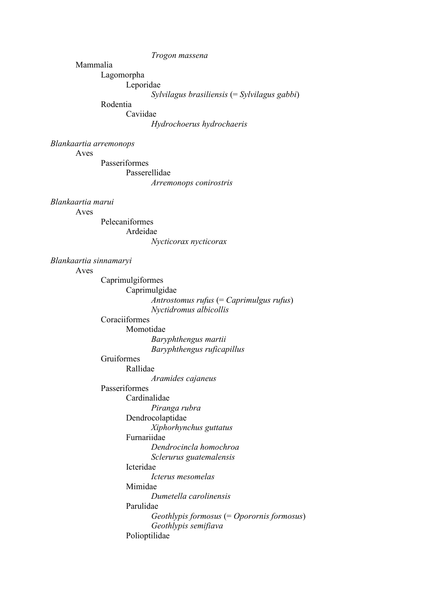*Trogon massena*

Mammalia

Lagomorpha

Leporidae

*Sylvilagus brasiliensis* (= *Sylvilagus gabbi*)

Rodentia

Caviidae

*Hydrochoerus hydrochaeris*

*Blankaartia arremonops*

Aves

Passeriformes Passerellidae

*Arremonops conirostris*

*Blankaartia marui*

Aves

Pelecaniformes Ardeidae

*Nycticorax nycticorax Blankaartia sinnamaryi* Aves Caprimulgiformes Caprimulgidae *Antrostomus rufus* (= *Caprimulgus rufus*) *Nyctidromus albicollis* Coraciiformes Momotidae *Baryphthengus martii Baryphthengus ruficapillus* Gruiformes Rallidae *Aramides cajaneus* Passeriformes Cardinalidae *Piranga rubra* Dendrocolaptidae *Xiphorhynchus guttatus* Furnariidae *Dendrocincla homochroa Sclerurus guatemalensis* Icteridae *Icterus mesomelas* Mimidae *Dumetella carolinensis* Parulidae *Geothlypis formosus* (= *Oporornis formosus*) *Geothlypis semifiava* Polioptilidae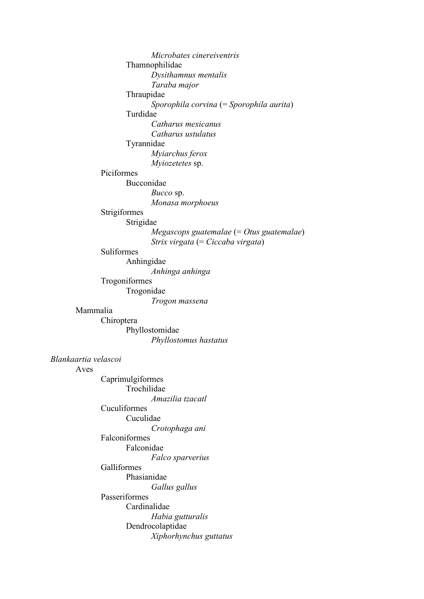*Microbates cinereiventris* Thamnophilidae *Dysithamnus mentalis Taraba major* Thraupidae *Sporophila corvina* (= *Sporophila aurita*) Turdidae *Catharus mexicanus Catharus ustulatus* Tyrannidae *Myiarchus ferox Myiozetetes* sp. Piciformes Bucconidae *Bucco* sp. *Monasa morphoeus* Strigiformes Strigidae *Megascops guatemalae* (= *Otus guatemalae*) *Strix virgata* (= *Ciccaba virgata*) Suliformes Anhingidae *Anhinga anhinga* Trogoniformes Trogonidae *Trogon massena* Mammalia Chiroptera Phyllostomidae *Phyllostomus hastatus Blankaartia velascoi* Aves Caprimulgiformes Trochilidae *Amazilia tzacatl* Cuculiformes Cuculidae *Crotophaga ani* Falconiformes Falconidae *Falco sparverius* Galliformes Phasianidae *Gallus gallus* Passeriformes Cardinalidae *Habia gutturalis* Dendrocolaptidae *Xiphorhynchus guttatus*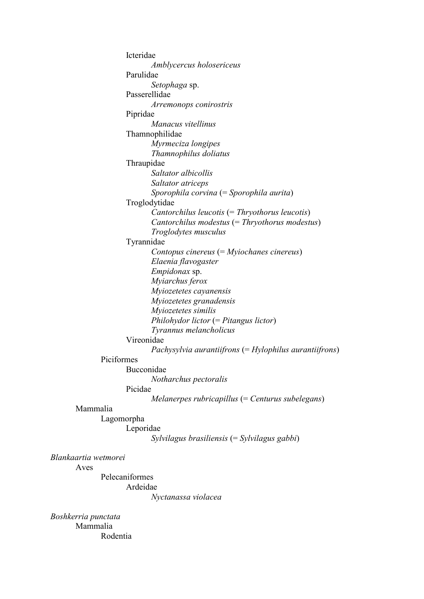Icteridae *Amblycercus holosericeus* Parulidae *Setophaga* sp. Passerellidae *Arremonops conirostris* Pipridae *Manacus vitellinus* Thamnophilidae *Myrmeciza longipes Thamnophilus doliatus* Thraupidae *Saltator albicollis Saltator atriceps Sporophila corvina* (= *Sporophila aurita*) Troglodytidae *Cantorchilus leucotis* (= *Thryothorus leucotis*) *Cantorchilus modestus* (= *Thryothorus modestus*) *Troglodytes musculus* Tyrannidae *Contopus cinereus* (= *Myiochanes cinereus*) *Elaenia flavogaster Empidonax* sp. *Myiarchus ferox Myiozetetes cayanensis Myiozetetes granadensis Myiozetetes similis Philohydor lictor* (= *Pitangus lictor*) *Tyrannus melancholicus* Vireonidae *Pachysylvia aurantiifrons* (= *Hylophilus aurantiifrons*) Piciformes Bucconidae *Notharchus pectoralis* Picidae *Melanerpes rubricapillus* (= *Centurus subelegans*) Mammalia Lagomorpha Leporidae *Sylvilagus brasiliensis* (= *Sylvilagus gabbi*) *Blankaartia wetmorei* Pelecaniformes

Ardeidae

*Nyctanassa violacea*

*Boshkerria punctata* Mammalia Rodentia

Aves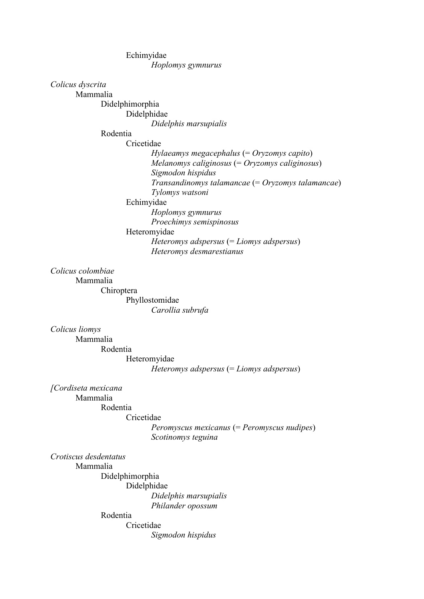Echimyidae *Hoplomys gymnurus*

## *Colicus dyscrita*

Mammalia

Didelphimorphia Didelphidae

*Didelphis marsupialis*

# Rodentia

Cricetidae

*Hylaeamys megacephalus* (= *Oryzomys capito*) *Melanomys caliginosus* (= *Oryzomys caliginosus*) *Sigmodon hispidus Transandinomys talamancae* (= *Oryzomys talamancae*) *Tylomys watsoni* Echimyidae

*Hoplomys gymnurus Proechimys semispinosus*

Heteromyidae

*Heteromys adspersus* (= *Liomys adspersus*) *Heteromys desmarestianus*

# *Colicus colombiae*

Mammalia

Chiroptera Phyllostomidae *Carollia subrufa*

#### *Colicus liomys*

Mammalia Rodentia Heteromyidae *Heteromys adspersus* (= *Liomys adspersus*)

# *[Cordiseta mexicana*

Mammalia

Rodentia

# Cricetidae

*Peromyscus mexicanus* (= *Peromyscus nudipes*) *Scotinomys teguina*

#### *Crotiscus desdentatus*

Mammalia

Didelphimorphia Didelphidae *Didelphis marsupialis Philander opossum*

## Rodentia

Cricetidae

*Sigmodon hispidus*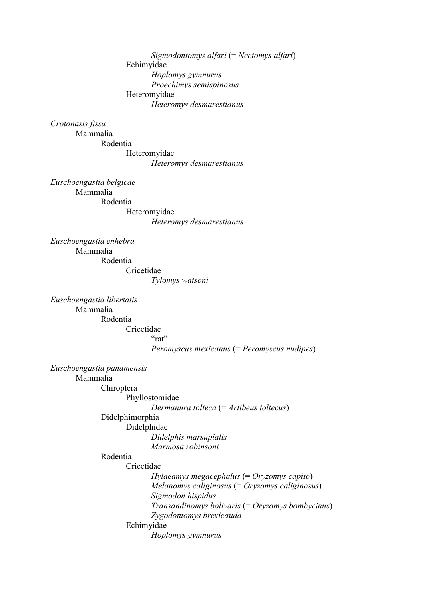*Sigmodontomys alfari* (= *Nectomys alfari*) Echimyidae *Hoplomys gymnurus Proechimys semispinosus* Heteromyidae *Heteromys desmarestianus*

#### *Crotonasis fissa*

Mammalia Rodentia Heteromyidae *Heteromys desmarestianus*

*Euschoengastia belgicae* Mammalia Rodentia Heteromyidae

*Heteromys desmarestianus*

*Tylomys watsoni*

*Euschoengastia enhebra* Mammalia Rodentia Cricetidae

*Euschoengastia libertatis* Mammalia Rodentia Cricetidae "rat" *Peromyscus mexicanus* (= *Peromyscus nudipes*)

*Euschoengastia panamensis*

Mammalia

Chiroptera

Phyllostomidae

*Dermanura tolteca* (= *Artibeus toltecus*)

Didelphimorphia

Didelphidae

*Didelphis marsupialis Marmosa robinsoni*

Rodentia

Cricetidae

*Hylaeamys megacephalus* (= *Oryzomys capito*) *Melanomys caliginosus* (= *Oryzomys caliginosus*) *Sigmodon hispidus Transandinomys bolivaris* (= *Oryzomys bombycinus*) *Zygodontomys brevicauda* Echimyidae

*Hoplomys gymnurus*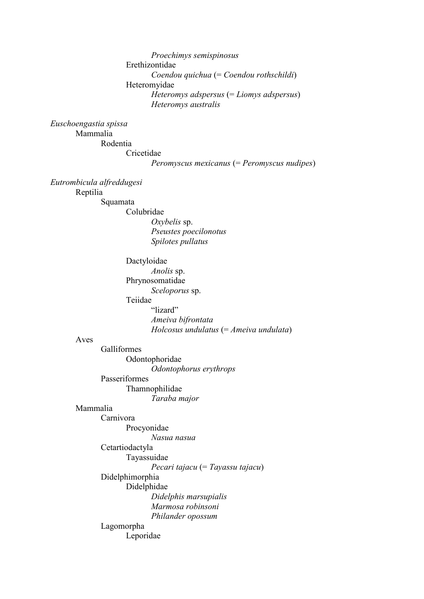*Proechimys semispinosus* Erethizontidae *Coendou quichua* (= *Coendou rothschildi*) Heteromyidae *Heteromys adspersus* (= *Liomys adspersus*) *Heteromys australis*

#### *Euschoengastia spissa*

Mammalia Rodentia Cricetidae *Peromyscus mexicanus* (= *Peromyscus nudipes*)

*Eutrombicula alfreddugesi*

Reptilia

Squamata

Colubridae *Oxybelis* sp. *Pseustes poecilonotus*

*Spilotes pullatus*

Dactyloidae

*Anolis* sp. Phrynosomatidae *Sceloporus* sp. Teiidae

"lizard" *Ameiva bifrontata Holcosus undulatus* (= *Ameiva undulata*)

#### Aves

Galliformes Odontophoridae *Odontophorus erythrops* Passeriformes

Thamnophilidae *Taraba major*

#### Mammalia

Carnivora Procyonidae

*Nasua nasua*

# Cetartiodactyla

Tayassuidae

*Pecari tajacu* (= *Tayassu tajacu*)

Didelphimorphia Didelphidae

*Didelphis marsupialis Marmosa robinsoni*

*Philander opossum*

Lagomorpha Leporidae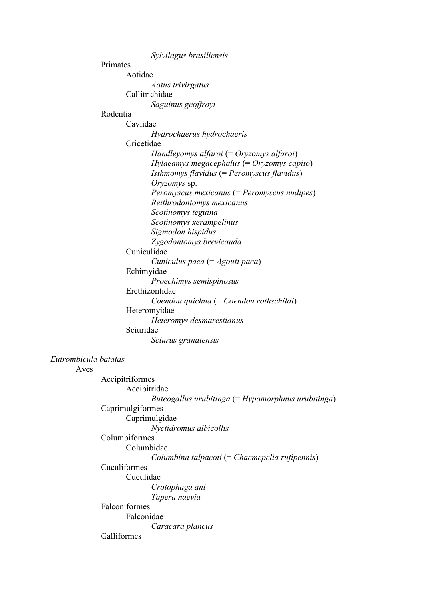*Sylvilagus brasiliensis* Primates Aotidae *Aotus trivirgatus* Callitrichidae *Saguinus geoffroyi* Rodentia Caviidae *Hydrochaerus hydrochaeris* Cricetidae *Handleyomys alfaroi* (= *Oryzomys alfaroi*) *Hylaeamys megacephalus* (= *Oryzomys capito*) *Isthmomys flavidus* (= *Peromyscus flavidus*) *Oryzomys* sp. *Peromyscus mexicanus* (= *Peromyscus nudipes*) *Reithrodontomys mexicanus Scotinomys teguina Scotinomys xerampelinus Sigmodon hispidus Zygodontomys brevicauda* Cuniculidae *Cuniculus paca* (= *Agouti paca*) Echimyidae *Proechimys semispinosus* Erethizontidae *Coendou quichua* (= *Coendou rothschildi*) Heteromyidae *Heteromys desmarestianus* Sciuridae *Sciurus granatensis Eutrombicula batatas* Aves Accipitriformes Accipitridae *Buteogallus urubitinga* (= *Hypomorphnus urubitinga*) Caprimulgiformes Caprimulgidae *Nyctidromus albicollis* Columbiformes Columbidae *Columbina talpacoti* (= *Chaemepelia rufipennis*) Cuculiformes Cuculidae *Crotophaga ani Tapera naevia* Falconiformes Falconidae *Caracara plancus* Galliformes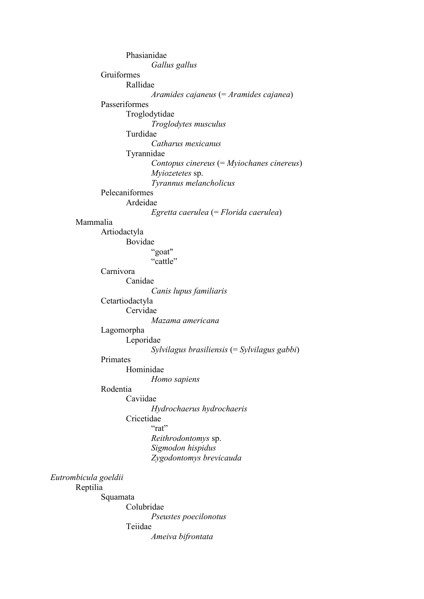Phasianidae *Gallus gallus* Gruiformes Rallidae *Aramides cajaneus* (= *Aramides cajanea*) Passeriformes Troglodytidae *Troglodytes musculus* Turdidae *Catharus mexicanus* Tyrannidae *Contopus cinereus* (= *Myiochanes cinereus*) *Myiozetetes* sp. *Tyrannus melancholicus* Pelecaniformes Ardeidae *Egretta caerulea* (= *Florida caerulea*) Mammalia Artiodactyla Bovidae "goat" "cattle" Carnivora Canidae *Canis lupus familiaris* Cetartiodactyla Cervidae *Mazama americana* Lagomorpha Leporidae *Sylvilagus brasiliensis* (= *Sylvilagus gabbi*) Primates Hominidae *Homo sapiens* Rodentia Caviidae *Hydrochaerus hydrochaeris* Cricetidae "rat" *Reithrodontomys* sp. *Sigmodon hispidus Zygodontomys brevicauda Eutrombicula goeldii* Reptilia Squamata Colubridae *Pseustes poecilonotus* Teiidae *Ameiva bifrontata*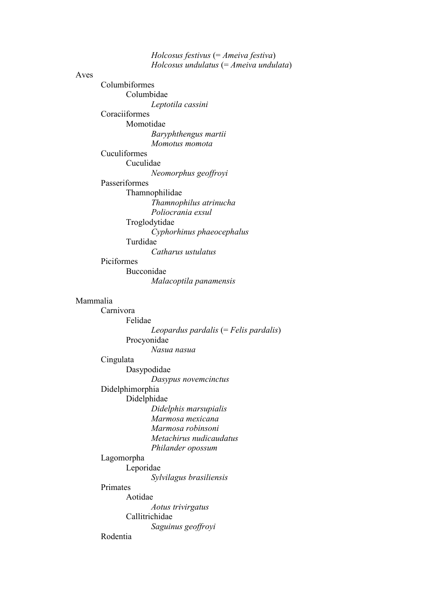*Holcosus festivus* (= *Ameiva festiva*) *Holcosus undulatus* (= *Ameiva undulata*) Aves Columbiformes Columbidae *Leptotila cassini* Coraciiformes Momotidae *Baryphthengus martii Momotus momota* Cuculiformes Cuculidae *Neomorphus geoffroyi* Passeriformes Thamnophilidae *Thamnophilus atrinucha Poliocrania exsul* Troglodytidae *Cyphorhinus phaeocephalus* Turdidae *Catharus ustulatus* Piciformes Bucconidae *Malacoptila panamensis* Mammalia Carnivora Felidae *Leopardus pardalis* (= *Felis pardalis*) Procyonidae *Nasua nasua* Cingulata Dasypodidae *Dasypus novemcinctus* Didelphimorphia Didelphidae *Didelphis marsupialis Marmosa mexicana Marmosa robinsoni Metachirus nudicaudatus Philander opossum* Lagomorpha Leporidae *Sylvilagus brasiliensis* Primates Aotidae *Aotus trivirgatus* Callitrichidae *Saguinus geoffroyi* Rodentia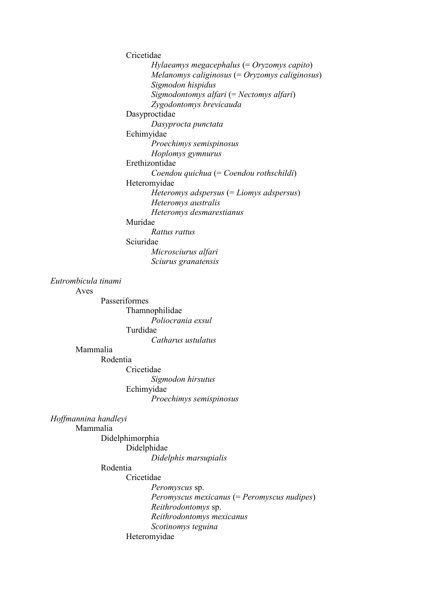Cricetidae *Hylaeamys megacephalus* (= *Oryzomys capito*) *Melanomys caliginosus* (= *Oryzomys caliginosus*) *Sigmodon hispidus Sigmodontomys alfari* (= *Nectomys alfari*) *Zygodontomys brevicauda* Dasyproctidae *Dasyprocta punctata* Echimyidae *Proechimys semispinosus Hoplomys gymnurus* Erethizontidae *Coendou quichua* (= *Coendou rothschildi*) Heteromyidae *Heteromys adspersus* (= *Liomys adspersus*) *Heteromys australis Heteromys desmarestianus* Muridae *Rattus rattus* Sciuridae *Microsciurus alfari Sciurus granatensis*

## *Eutrombicula tinami*

Aves

Passeriformes Thamnophilidae *Poliocrania exsul* Turdidae *Catharus ustulatus*

## Mammalia

Rodentia

Cricetidae *Sigmodon hirsutus* Echimyidae *Proechimys semispinosus*

*Hoffmannina handleyi*

# Mammalia

Didelphimorphia Didelphidae

*Didelphis marsupialis*

## Rodentia

Cricetidae

*Peromyscus* sp. *Peromyscus mexicanus* (= *Peromyscus nudipes*) *Reithrodontomys* sp. *Reithrodontomys mexicanus Scotinomys teguina* Heteromyidae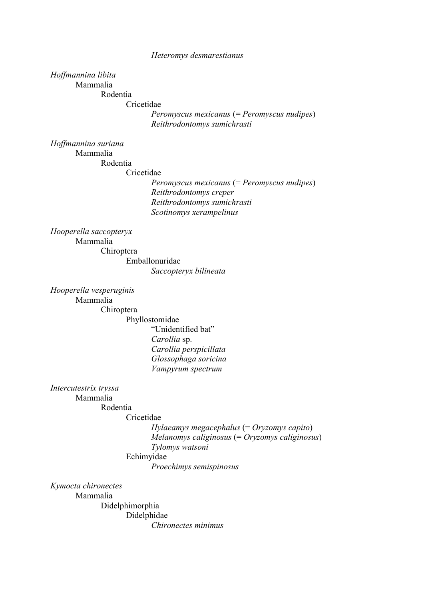#### *Heteromys desmarestianus*

# *Hoffmannina libita*

Mammalia

Rodentia

Cricetidae

*Peromyscus mexicanus* (= *Peromyscus nudipes*) *Reithrodontomys sumichrasti*

*Hoffmannina suriana* Mammalia

Rodentia

Cricetidae

*Peromyscus mexicanus* (= *Peromyscus nudipes*) *Reithrodontomys creper Reithrodontomys sumichrasti Scotinomys xerampelinus*

*Hooperella saccopteryx*

Mammalia

Chiroptera Emballonuridae

*Saccopteryx bilineata*

*Hooperella vesperuginis* Mammalia

Chiroptera

Phyllostomidae

"Unidentified bat" *Carollia* sp. *Carollia perspicillata Glossophaga soricina Vampyrum spectrum*

*Intercutestrix tryssa*

Mammalia

#### Rodentia Cricetidae

*Hylaeamys megacephalus* (= *Oryzomys capito*) *Melanomys caliginosus* (= *Oryzomys caliginosus*) *Tylomys watsoni* Echimyidae

*Proechimys semispinosus*

*Kymocta chironectes*

Mammalia Didelphimorphia Didelphidae *Chironectes minimus*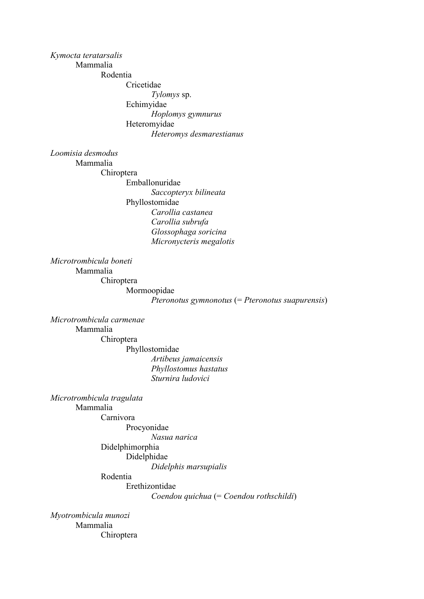# *Kymocta teratarsalis*

Mammalia

Rodentia Cricetidae *Tylomys* sp. Echimyidae *Hoplomys gymnurus* Heteromyidae *Heteromys desmarestianus*

*Loomisia desmodus*

Mammalia

Chiroptera Emballonuridae *Saccopteryx bilineata* Phyllostomidae *Carollia castanea Carollia subrufa Glossophaga soricina*

*Micronycteris megalotis*

*Microtrombicula boneti* Mammalia Chiroptera Mormoopidae

*Pteronotus gymnonotus* (= *Pteronotus suapurensis*)

*Microtrombicula carmenae* Mammalia Chiroptera Phyllostomidae *Artibeus jamaicensis Phyllostomus hastatus Sturnira ludovici*

*Microtrombicula tragulata* Mammalia Carnivora Procyonidae

*Nasua narica*

Didelphimorphia Didelphidae

*Didelphis marsupialis*

Rodentia

Erethizontidae

*Coendou quichua* (= *Coendou rothschildi*)

*Myotrombicula munozi* Mammalia Chiroptera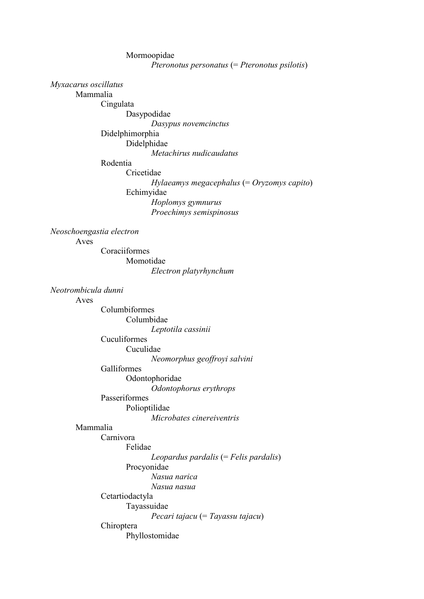Mormoopidae *Pteronotus personatus* (= *Pteronotus psilotis*) *Myxacarus oscillatus* Mammalia Cingulata Dasypodidae *Dasypus novemcinctus* Didelphimorphia Didelphidae *Metachirus nudicaudatus* Rodentia Cricetidae *Hylaeamys megacephalus* (= *Oryzomys capito*) Echimyidae *Hoplomys gymnurus Proechimys semispinosus Neoschoengastia electron* Aves Coraciiformes Momotidae

*Electron platyrhynchum*

*Neotrombicula dunni*

## Aves

Columbiformes Columbidae *Leptotila cassinii* Cuculiformes Cuculidae *Neomorphus geoffroyi salvini* Galliformes Odontophoridae *Odontophorus erythrops* Passeriformes

Polioptilidae

*Microbates cinereiventris*

# Mammalia

Carnivora

Felidae *Leopardus pardalis* (= *Felis pardalis*) Procyonidae *Nasua narica Nasua nasua* Cetartiodactyla Tayassuidae *Pecari tajacu* (= *Tayassu tajacu*) Chiroptera Phyllostomidae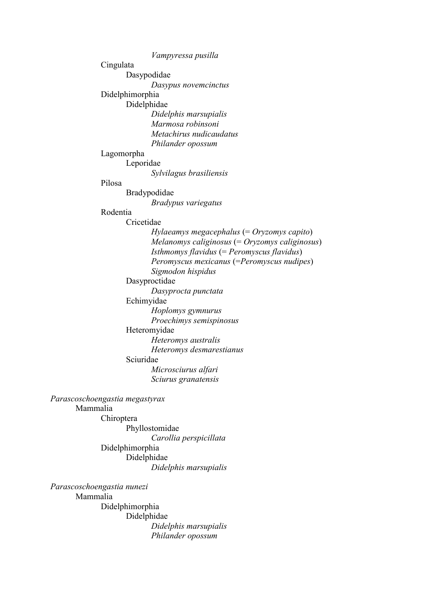*Vampyressa pusilla* Cingulata Dasypodidae *Dasypus novemcinctus* Didelphimorphia Didelphidae *Didelphis marsupialis Marmosa robinsoni Metachirus nudicaudatus Philander opossum* Lagomorpha Leporidae *Sylvilagus brasiliensis* Pilosa Bradypodidae *Bradypus variegatus* Rodentia Cricetidae *Hylaeamys megacephalus* (= *Oryzomys capito*) *Melanomys caliginosus* (= *Oryzomys caliginosus*) *Isthmomys flavidus* (= *Peromyscus flavidus*) *Peromyscus mexicanus* (=*Peromyscus nudipes*) *Sigmodon hispidus* Dasyproctidae *Dasyprocta punctata* Echimyidae *Hoplomys gymnurus Proechimys semispinosus* Heteromyidae *Heteromys australis Heteromys desmarestianus* Sciuridae *Microsciurus alfari Sciurus granatensis Parascoschoengastia megastyrax* Mammalia Chiroptera Phyllostomidae *Carollia perspicillata* Didelphimorphia Didelphidae *Didelphis marsupialis*

*Parascoschoengastia nunezi* Mammalia Didelphimorphia Didelphidae *Didelphis marsupialis Philander opossum*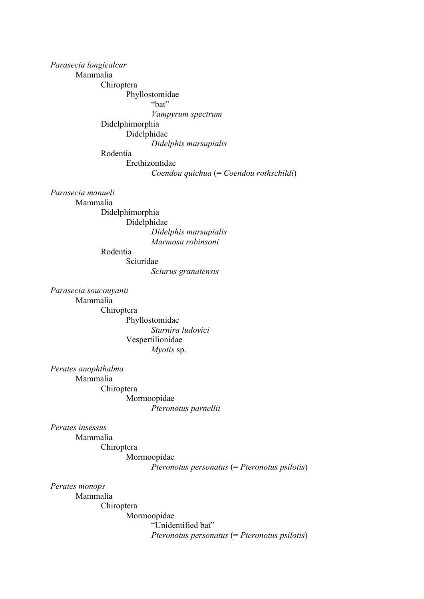*Parasecia longicalcar*

Mammalia

Chiroptera

Phyllostomidae

"bat"

*Vampyrum spectrum*

Didelphimorphia Didelphidae

*Didelphis marsupialis*

Rodentia

Erethizontidae

*Coendou quichua* (= *Coendou rothschildi*)

*Parasecia manueli*

Mammalia

Didelphimorphia Didelphidae *Didelphis marsupialis Marmosa robinsoni*

Rodentia

Sciuridae

*Sciurus granatensis*

*Parasecia soucouyanti* Mammalia Chiroptera Phyllostomidae *Sturnira ludovici* Vespertilionidae

*Myotis* sp.

*Perates anophthalma* Mammalia Chiroptera Mormoopidae *Pteronotus parnellii*

*Perates insessus*

Mammalia

Chiroptera Mormoopidae

*Pteronotus personatus* (= *Pteronotus psilotis*)

*Perates monops*

Mammalia Chiroptera Mormoopidae "Unidentified bat" *Pteronotus personatus* (= *Pteronotus psilotis*)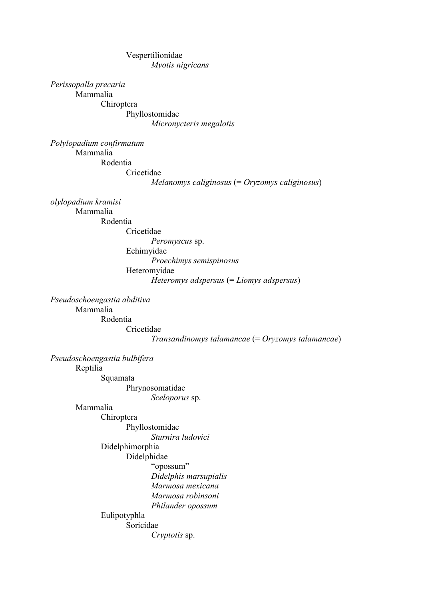# Vespertilionidae *Myotis nigricans*

*Perissopalla precaria* Mammalia

Chiroptera Phyllostomidae *Micronycteris megalotis*

*Polylopadium confirmatum* Mammalia Rodentia Cricetidae

*Melanomys caliginosus* (= *Oryzomys caliginosus*)

*olylopadium kramisi* Mammalia

Rodentia

Cricetidae

*Peromyscus* sp. Echimyidae *Proechimys semispinosus* Heteromyidae *Heteromys adspersus* (= *Liomys adspersus*)

*Pseudoschoengastia abditiva* Mammalia Rodentia Cricetidae

*Transandinomys talamancae* (= *Oryzomys talamancae*)

*Pseudoschoengastia bulbifera*

Reptilia

Squamata Phrynosomatidae

*Sceloporus* sp.

Mammalia

Chiroptera

Phyllostomidae

*Sturnira ludovici*

Didelphimorphia

Didelphidae

"opossum" *Didelphis marsupialis Marmosa mexicana Marmosa robinsoni Philander opossum*

Eulipotyphla

Soricidae

*Cryptotis* sp.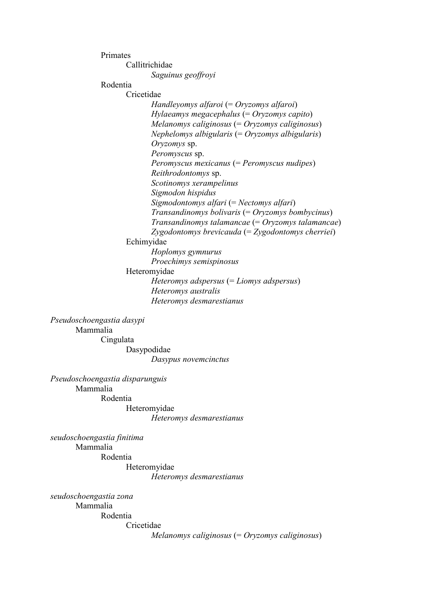Primates Callitrichidae *Saguinus geoffroyi* Rodentia Cricetidae *Handleyomys alfaroi* (= *Oryzomys alfaroi*) *Hylaeamys megacephalus* (= *Oryzomys capito*) *Melanomys caliginosus* (= *Oryzomys caliginosus*) *Nephelomys albigularis* (= *Oryzomys albigularis*) *Oryzomys* sp. *Peromyscus* sp. *Peromyscus mexicanus* (= *Peromyscus nudipes*) *Reithrodontomys* sp. *Scotinomys xerampelinus Sigmodon hispidus Sigmodontomys alfari* (= *Nectomys alfari*) *Transandinomys bolivaris* (= *Oryzomys bombycinus*) *Transandinomys talamancae* (= *Oryzomys talamancae*) *Zygodontomys brevicauda* (= *Zygodontomys cherriei*) Echimyidae *Hoplomys gymnurus Proechimys semispinosus* Heteromyidae *Heteromys adspersus* (= *Liomys adspersus*) *Heteromys australis Heteromys desmarestianus*

*Pseudoschoengastia dasypi* Mammalia Cingulata Dasypodidae

*Dasypus novemcinctus*

*Pseudoschoengastia disparunguis* Mammalia Rodentia

Heteromyidae *Heteromys desmarestianus*

*seudoschoengastia finitima* Mammalia Rodentia

Heteromyidae *Heteromys desmarestianus*

*seudoschoengastia zona* Mammalia Rodentia Cricetidae

*Melanomys caliginosus* (= *Oryzomys caliginosus*)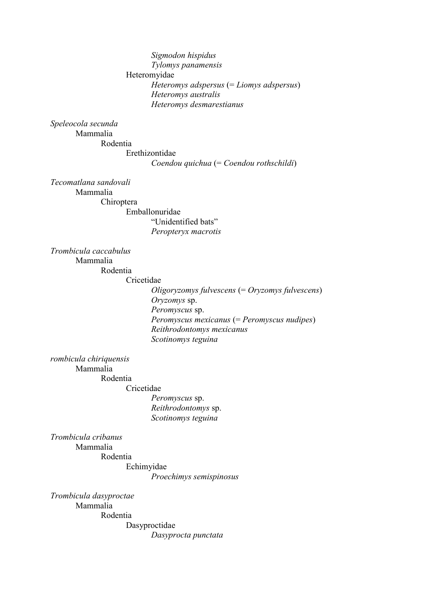# *Sigmodon hispidus Tylomys panamensis* Heteromyidae *Heteromys adspersus* (= *Liomys adspersus*) *Heteromys australis Heteromys desmarestianus*

#### *Speleocola secunda*

Mammalia Rodentia Erethizontidae *Coendou quichua* (= *Coendou rothschildi*)

*Tecomatlana sandovali*

Mammalia

Chiroptera Emballonuridae "Unidentified bats" *Peropteryx macrotis*

*Trombicula caccabulus* Mammalia

Rodentia

Cricetidae

*Oligoryzomys fulvescens* (= *Oryzomys fulvescens*) *Oryzomys* sp. *Peromyscus* sp. *Peromyscus mexicanus* (= *Peromyscus nudipes*) *Reithrodontomys mexicanus Scotinomys teguina*

*rombicula chiriquensis*

Mammalia

Rodentia

Cricetidae

*Peromyscus* sp. *Reithrodontomys* sp. *Scotinomys teguina*

*Trombicula cribanus* Mammalia Rodentia

Echimyidae

*Proechimys semispinosus*

*Trombicula dasyproctae* Mammalia Rodentia Dasyproctidae

*Dasyprocta punctata*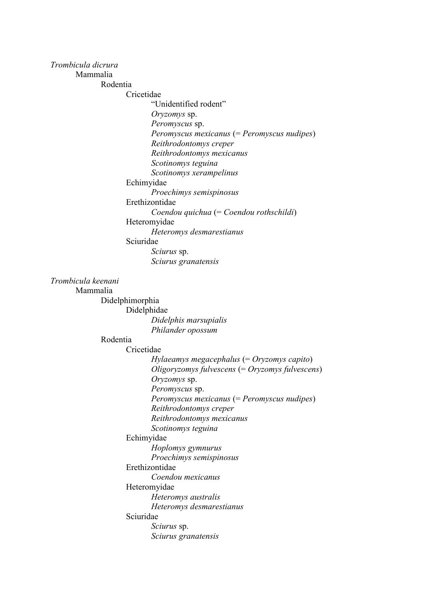### *Trombicula dicrura*

Mammalia

Rodentia

Cricetidae

"Unidentified rodent"

*Oryzomys* sp.

*Peromyscus* sp.

*Peromyscus mexicanus* (= *Peromyscus nudipes*)

*Reithrodontomys creper*

*Reithrodontomys mexicanus*

*Scotinomys teguina*

*Scotinomys xerampelinus*

Echimyidae

*Proechimys semispinosus*

Erethizontidae

*Coendou quichua* (= *Coendou rothschildi*)

Heteromyidae

*Heteromys desmarestianus*

Sciuridae

*Sciurus* sp. *Sciurus granatensis*

*Trombicula keenani*

Mammalia

Didelphimorphia

Didelphidae *Didelphis marsupialis Philander opossum*

Rodentia

Cricetidae

*Hylaeamys megacephalus* (= *Oryzomys capito*) *Oligoryzomys fulvescens* (= *Oryzomys fulvescens*) *Oryzomys* sp. *Peromyscus* sp. *Peromyscus mexicanus* (= *Peromyscus nudipes*) *Reithrodontomys creper*

*Reithrodontomys mexicanus*

*Scotinomys teguina*

Echimyidae

*Hoplomys gymnurus*

*Proechimys semispinosus*

Erethizontidae

*Coendou mexicanus*

Heteromyidae

*Heteromys australis*

*Heteromys desmarestianus*

Sciuridae

*Sciurus* sp. *Sciurus granatensis*